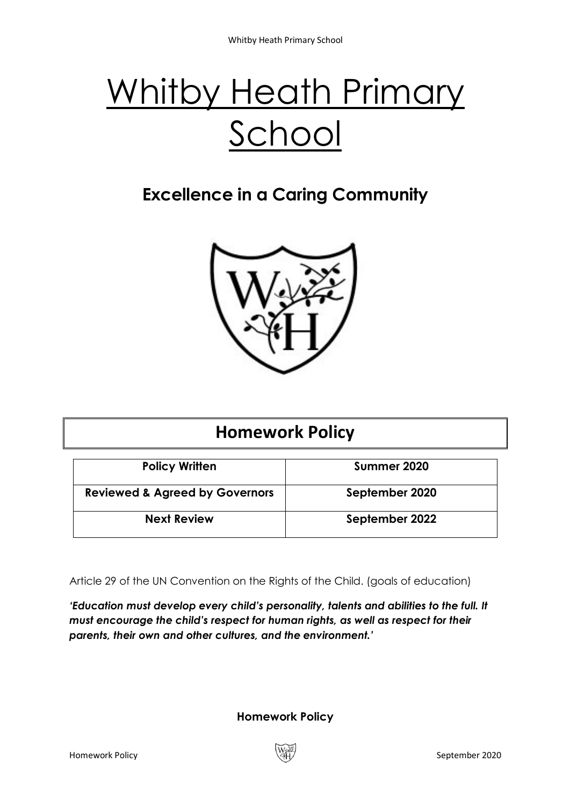# Whitby Heath Primary School

# **Excellence in a Caring Community**



# **Homework Policy**

| <b>Policy Written</b>                     | Summer 2020    |
|-------------------------------------------|----------------|
| <b>Reviewed &amp; Agreed by Governors</b> | September 2020 |
| <b>Next Review</b>                        | September 2022 |

Article 29 of the UN Convention on the Rights of the Child. (goals of education)

*'Education must develop every child's personality, talents and abilities to the full. It must encourage the child's respect for human rights, as well as respect for their parents, their own and other cultures, and the environment.'*

**Homework Policy**

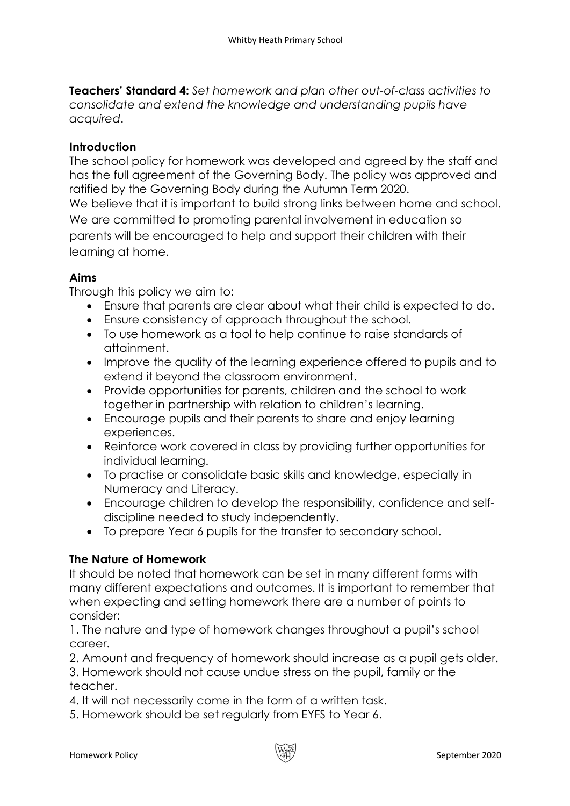**Teachers' Standard 4:** *Set homework and plan other out-of-class activities to consolidate and extend the knowledge and understanding pupils have acquired*.

# **Introduction**

The school policy for homework was developed and agreed by the staff and has the full agreement of the Governing Body. The policy was approved and ratified by the Governing Body during the Autumn Term 2020.

We believe that it is important to build strong links between home and school. We are committed to promoting parental involvement in education so parents will be encouraged to help and support their children with their learning at home.

# **Aims**

Through this policy we aim to:

- Ensure that parents are clear about what their child is expected to do.
- Ensure consistency of approach throughout the school.
- To use homework as a tool to help continue to raise standards of attainment.
- Improve the quality of the learning experience offered to pupils and to extend it beyond the classroom environment.
- Provide opportunities for parents, children and the school to work together in partnership with relation to children's learning.
- Encourage pupils and their parents to share and enjoy learning experiences.
- Reinforce work covered in class by providing further opportunities for individual learning.
- To practise or consolidate basic skills and knowledge, especially in Numeracy and Literacy.
- Encourage children to develop the responsibility, confidence and selfdiscipline needed to study independently.
- To prepare Year 6 pupils for the transfer to secondary school.

# **The Nature of Homework**

It should be noted that homework can be set in many different forms with many different expectations and outcomes. It is important to remember that when expecting and setting homework there are a number of points to consider:

1. The nature and type of homework changes throughout a pupil's school career.

2. Amount and frequency of homework should increase as a pupil gets older. 3. Homework should not cause undue stress on the pupil, family or the teacher.

- 4. It will not necessarily come in the form of a written task.
- 5. Homework should be set regularly from EYFS to Year 6.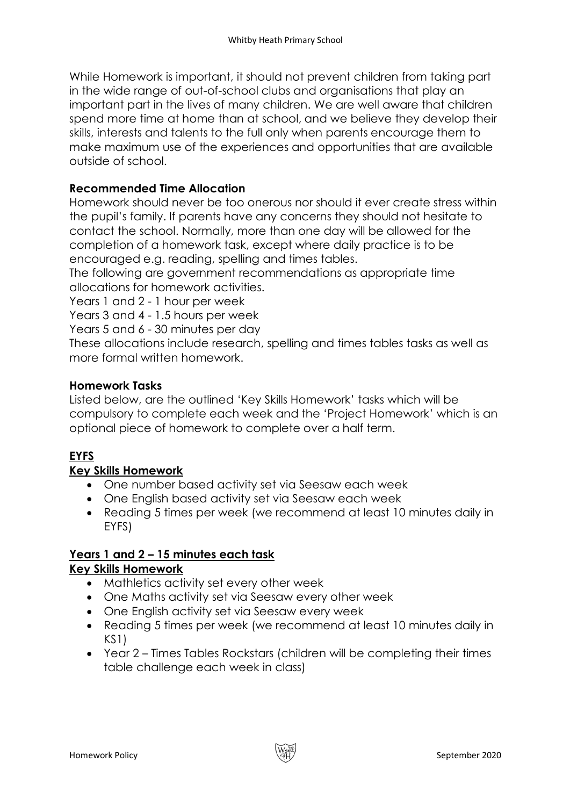While Homework is important, it should not prevent children from taking part in the wide range of out-of-school clubs and organisations that play an important part in the lives of many children. We are well aware that children spend more time at home than at school, and we believe they develop their skills, interests and talents to the full only when parents encourage them to make maximum use of the experiences and opportunities that are available outside of school.

# **Recommended Time Allocation**

Homework should never be too onerous nor should it ever create stress within the pupil's family. If parents have any concerns they should not hesitate to contact the school. Normally, more than one day will be allowed for the completion of a homework task, except where daily practice is to be encouraged e.g. reading, spelling and times tables.

The following are government recommendations as appropriate time allocations for homework activities.

Years 1 and 2 - 1 hour per week

Years 3 and 4 - 1.5 hours per week

Years 5 and 6 - 30 minutes per day

These allocations include research, spelling and times tables tasks as well as more formal written homework.

# **Homework Tasks**

Listed below, are the outlined 'Key Skills Homework' tasks which will be compulsory to complete each week and the 'Project Homework' which is an optional piece of homework to complete over a half term.

# **EYFS**

# **Key Skills Homework**

- One number based activity set via Seesaw each week
- One English based activity set via Seesaw each week
- Reading 5 times per week (we recommend at least 10 minutes daily in EYFS)

#### **Years 1 and 2 – 15 minutes each task Key Skills Homework**

- Mathletics activity set every other week
- One Maths activity set via Seesaw every other week
- One English activity set via Seesaw every week
- Reading 5 times per week (we recommend at least 10 minutes daily in KS1)
- Year 2 Times Tables Rockstars (children will be completing their times table challenge each week in class)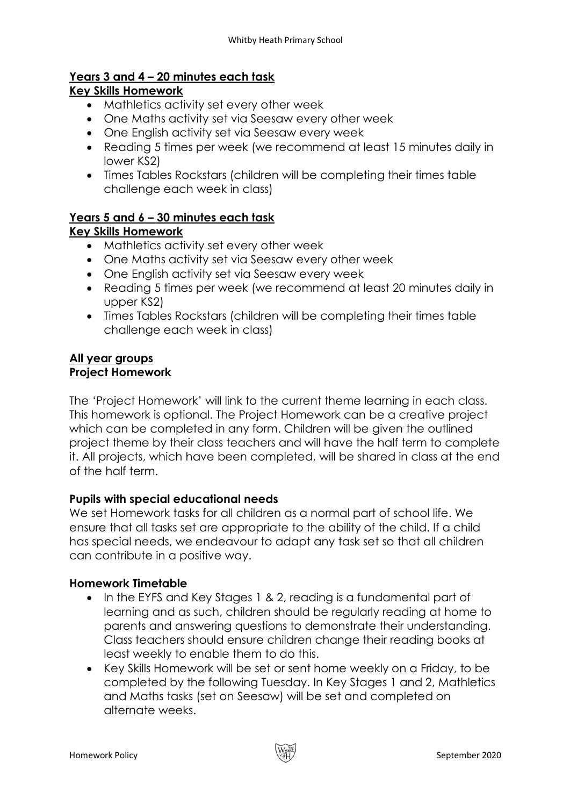# **Years 3 and 4 – 20 minutes each task**

# **Key Skills Homework**

- Mathletics activity set every other week
- One Maths activity set via Seesaw every other week
- One English activity set via Seesaw every week
- Reading 5 times per week (we recommend at least 15 minutes daily in lower KS2)
- Times Tables Rockstars (children will be completing their times table challenge each week in class)

#### **Years 5 and 6 – 30 minutes each task Key Skills Homework**

- Mathletics activity set every other week
- One Maths activity set via Seesaw every other week
- One English activity set via Seesaw every week
- Reading 5 times per week (we recommend at least 20 minutes daily in upper KS2)
- Times Tables Rockstars (children will be completing their times table challenge each week in class)

#### **All year groups Project Homework**

The 'Project Homework' will link to the current theme learning in each class. This homework is optional. The Project Homework can be a creative project which can be completed in any form. Children will be given the outlined project theme by their class teachers and will have the half term to complete it. All projects, which have been completed, will be shared in class at the end of the half term.

# **Pupils with special educational needs**

We set Homework tasks for all children as a normal part of school life. We ensure that all tasks set are appropriate to the ability of the child. If a child has special needs, we endeavour to adapt any task set so that all children can contribute in a positive way.

# **Homework Timetable**

- In the EYFS and Key Stages 1 & 2, reading is a fundamental part of learning and as such, children should be regularly reading at home to parents and answering questions to demonstrate their understanding. Class teachers should ensure children change their reading books at least weekly to enable them to do this.
- Key Skills Homework will be set or sent home weekly on a Friday, to be completed by the following Tuesday. In Key Stages 1 and 2, Mathletics and Maths tasks (set on Seesaw) will be set and completed on alternate weeks.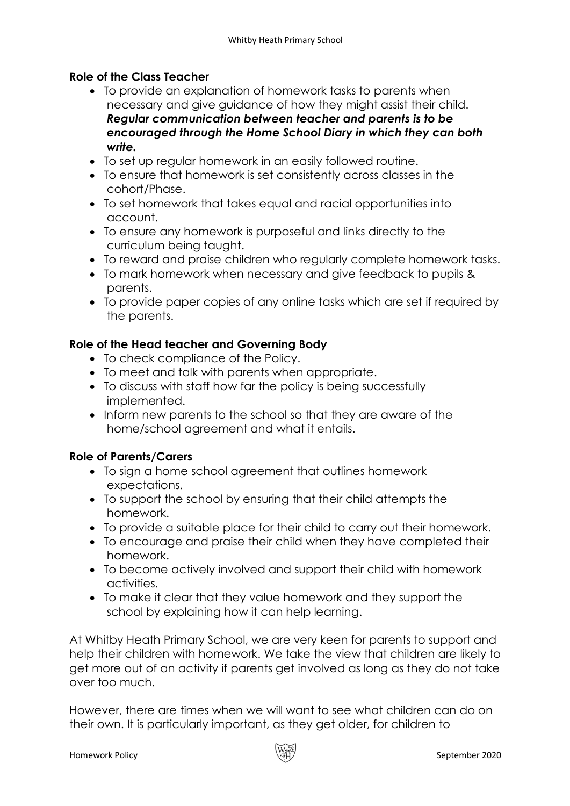# **Role of the Class Teacher**

- To provide an explanation of homework tasks to parents when necessary and give guidance of how they might assist their child. *Regular communication between teacher and parents is to be encouraged through the Home School Diary in which they can both write.*
- To set up regular homework in an easily followed routine.
- To ensure that homework is set consistently across classes in the cohort/Phase.
- To set homework that takes equal and racial opportunities into account.
- To ensure any homework is purposeful and links directly to the curriculum being taught.
- To reward and praise children who regularly complete homework tasks.
- To mark homework when necessary and give feedback to pupils & parents.
- To provide paper copies of any online tasks which are set if required by the parents.

# **Role of the Head teacher and Governing Body**

- To check compliance of the Policy.
- To meet and talk with parents when appropriate.
- To discuss with staff how far the policy is being successfully implemented.
- Inform new parents to the school so that they are aware of the home/school agreement and what it entails.

# **Role of Parents/Carers**

- To sign a home school agreement that outlines homework expectations.
- To support the school by ensuring that their child attempts the homework.
- To provide a suitable place for their child to carry out their homework.
- To encourage and praise their child when they have completed their homework.
- To become actively involved and support their child with homework activities.
- To make it clear that they value homework and they support the school by explaining how it can help learning.

At Whitby Heath Primary School, we are very keen for parents to support and help their children with homework. We take the view that children are likely to get more out of an activity if parents get involved as long as they do not take over too much.

However, there are times when we will want to see what children can do on their own. It is particularly important, as they get older, for children to